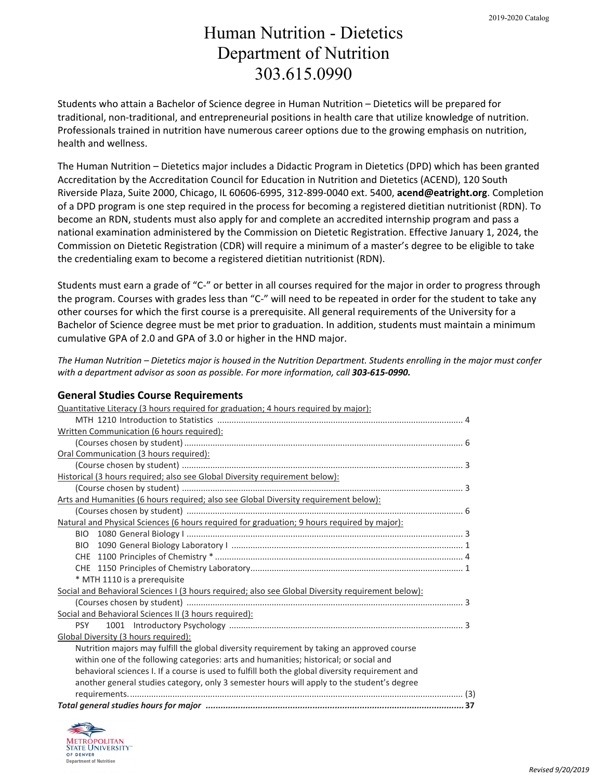## Human Nutrition - Dietetics Department of Nutrition 303.615.0990

Students who attain a Bachelor of Science degree in Human Nutrition – Dietetics will be prepared for traditional, non-traditional, and entrepreneurial positions in health care that utilize knowledge of nutrition. Professionals trained in nutrition have numerous career options due to the growing emphasis on nutrition, health and wellness.

The Human Nutrition – Dietetics major includes a Didactic Program in Dietetics (DPD) which has been granted Accreditation by the Accreditation Council for Education in Nutrition and Dietetics (ACEND), 120 South Riverside Plaza, Suite 2000, Chicago, IL 60606-6995, 312-899-0040 ext. 5400, **acend@eatright.org**. Completion of a DPD program is one step required in the process for becoming a registered dietitian nutritionist (RDN). To become an RDN, students must also apply for and complete an accredited internship program and pass a national examination administered by the Commission on Dietetic Registration. Effective January 1, 2024, the Commission on Dietetic Registration (CDR) will require a minimum of a master's degree to be eligible to take the credentialing exam to become a registered dietitian nutritionist (RDN).

Students must earn a grade of "C-" or better in all courses required for the major in order to progress through the program. Courses with grades less than "C-" will need to be repeated in order for the student to take any other courses for which the first course is a prerequisite. All general requirements of the University for a Bachelor of Science degree must be met prior to graduation. In addition, students must maintain a minimum cumulative GPA of 2.0 and GPA of 3.0 or higher in the HND major.

*The Human Nutrition – Dietetics major is housed in the Nutrition Department. Students enrolling in the major must confer with a department advisor as soon as possible. For more information, call 303-615-0990.*

### **General Studies Course Requirements**

| Quantitative Literacy (3 hours required for graduation; 4 hours required by major):               |  |  |  |  |
|---------------------------------------------------------------------------------------------------|--|--|--|--|
|                                                                                                   |  |  |  |  |
| Written Communication (6 hours required):                                                         |  |  |  |  |
|                                                                                                   |  |  |  |  |
| Oral Communication (3 hours required):                                                            |  |  |  |  |
|                                                                                                   |  |  |  |  |
| Historical (3 hours required; also see Global Diversity requirement below):                       |  |  |  |  |
|                                                                                                   |  |  |  |  |
| Arts and Humanities (6 hours required; also see Global Diversity requirement below):              |  |  |  |  |
|                                                                                                   |  |  |  |  |
| Natural and Physical Sciences (6 hours required for graduation; 9 hours required by major):       |  |  |  |  |
|                                                                                                   |  |  |  |  |
| <b>BIO</b>                                                                                        |  |  |  |  |
|                                                                                                   |  |  |  |  |
|                                                                                                   |  |  |  |  |
| * MTH 1110 is a prerequisite                                                                      |  |  |  |  |
| Social and Behavioral Sciences I (3 hours required; also see Global Diversity requirement below): |  |  |  |  |
|                                                                                                   |  |  |  |  |
| Social and Behavioral Sciences II (3 hours required):                                             |  |  |  |  |
| <b>PSY</b>                                                                                        |  |  |  |  |
| Global Diversity (3 hours required):                                                              |  |  |  |  |
| Nutrition majors may fulfill the global diversity requirement by taking an approved course        |  |  |  |  |
| within one of the following categories: arts and humanities; historical; or social and            |  |  |  |  |
| behavioral sciences I. If a course is used to fulfill both the global diversity requirement and   |  |  |  |  |
| another general studies category, only 3 semester hours will apply to the student's degree        |  |  |  |  |
|                                                                                                   |  |  |  |  |
|                                                                                                   |  |  |  |  |

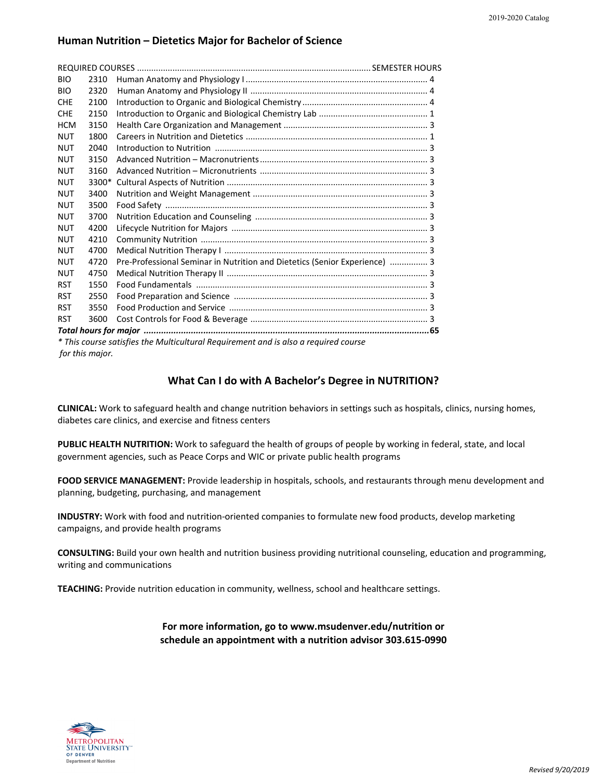#### **Human Nutrition – Dietetics Major for Bachelor of Science**

| <b>BIO</b>                                                                                                                                                                                                                     | 2310  |                                                                            |  |  |
|--------------------------------------------------------------------------------------------------------------------------------------------------------------------------------------------------------------------------------|-------|----------------------------------------------------------------------------|--|--|
| <b>BIO</b>                                                                                                                                                                                                                     | 2320  |                                                                            |  |  |
| <b>CHE</b>                                                                                                                                                                                                                     | 2100  |                                                                            |  |  |
| <b>CHE</b>                                                                                                                                                                                                                     | 2150  |                                                                            |  |  |
| <b>HCM</b>                                                                                                                                                                                                                     | 3150  |                                                                            |  |  |
| <b>NUT</b>                                                                                                                                                                                                                     | 1800  |                                                                            |  |  |
| <b>NUT</b>                                                                                                                                                                                                                     | 2040  |                                                                            |  |  |
| <b>NUT</b>                                                                                                                                                                                                                     | 3150  |                                                                            |  |  |
| <b>NUT</b>                                                                                                                                                                                                                     | 3160  |                                                                            |  |  |
| <b>NUT</b>                                                                                                                                                                                                                     | 3300* |                                                                            |  |  |
| <b>NUT</b>                                                                                                                                                                                                                     | 3400  |                                                                            |  |  |
| <b>NUT</b>                                                                                                                                                                                                                     | 3500  |                                                                            |  |  |
| <b>NUT</b>                                                                                                                                                                                                                     | 3700  |                                                                            |  |  |
| <b>NUT</b>                                                                                                                                                                                                                     | 4200  |                                                                            |  |  |
| <b>NUT</b>                                                                                                                                                                                                                     | 4210  |                                                                            |  |  |
| <b>NUT</b>                                                                                                                                                                                                                     | 4700  |                                                                            |  |  |
| <b>NUT</b>                                                                                                                                                                                                                     | 4720  | Pre-Professional Seminar in Nutrition and Dietetics (Senior Experience)  3 |  |  |
| <b>NUT</b>                                                                                                                                                                                                                     | 4750  |                                                                            |  |  |
| <b>RST</b>                                                                                                                                                                                                                     | 1550  |                                                                            |  |  |
| <b>RST</b>                                                                                                                                                                                                                     | 2550  |                                                                            |  |  |
| <b>RST</b>                                                                                                                                                                                                                     | 3550  |                                                                            |  |  |
| <b>RST</b>                                                                                                                                                                                                                     | 3600  |                                                                            |  |  |
|                                                                                                                                                                                                                                |       |                                                                            |  |  |
| * This course satisfies the Multicultural Requirement and is also a required course                                                                                                                                            |       |                                                                            |  |  |
| La contrata constantino de la contrata della contrata della contrata della contrata della contrata della contrata della contrata della contrata della contrata della contrata della contrata della contrata della contrata del |       |                                                                            |  |  |

*for this major.*

#### **What Can I do with A Bachelor's Degree in NUTRITION?**

**CLINICAL:** Work to safeguard health and change nutrition behaviors in settings such as hospitals, clinics, nursing homes, diabetes care clinics, and exercise and fitness centers

**PUBLIC HEALTH NUTRITION:** Work to safeguard the health of groups of people by working in federal, state, and local government agencies, such as Peace Corps and WIC or private public health programs

**FOOD SERVICE MANAGEMENT:** Provide leadership in hospitals, schools, and restaurants through menu development and planning, budgeting, purchasing, and management

**INDUSTRY:** Work with food and nutrition-oriented companies to formulate new food products, develop marketing campaigns, and provide health programs

**CONSULTING:** Build your own health and nutrition business providing nutritional counseling, education and programming, writing and communications

**TEACHING:** Provide nutrition education in community, wellness, school and healthcare settings.

#### **For more information, go to www.msudenver.edu/nutrition or schedule an appointment with a nutrition advisor 303.615-0990**